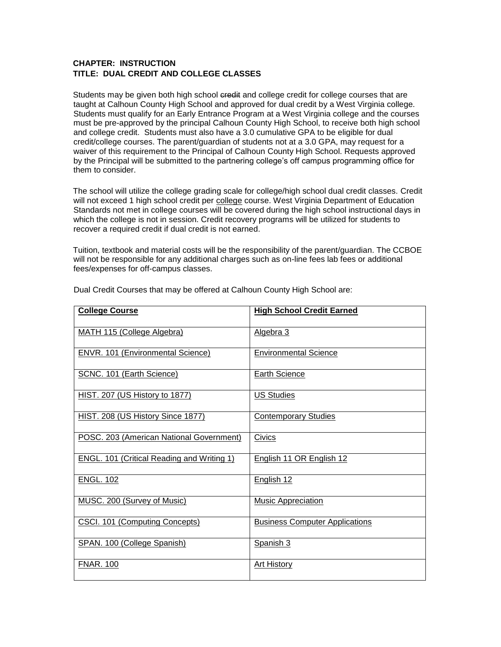## **CHAPTER: INSTRUCTION TITLE: DUAL CREDIT AND COLLEGE CLASSES**

Students may be given both high school credit and college credit for college courses that are taught at Calhoun County High School and approved for dual credit by a West Virginia college. Students must qualify for an Early Entrance Program at a West Virginia college and the courses must be pre-approved by the principal Calhoun County High School, to receive both high school and college credit. Students must also have a 3.0 cumulative GPA to be eligible for dual credit/college courses. The parent/guardian of students not at a 3.0 GPA, may request for a waiver of this requirement to the Principal of Calhoun County High School. Requests approved by the Principal will be submitted to the partnering college's off campus programming office for them to consider.

The school will utilize the college grading scale for college/high school dual credit classes. Credit will not exceed 1 high school credit per college course. West Virginia Department of Education Standards not met in college courses will be covered during the high school instructional days in which the college is not in session. Credit recovery programs will be utilized for students to recover a required credit if dual credit is not earned.

Tuition, textbook and material costs will be the responsibility of the parent/guardian. The CCBOE will not be responsible for any additional charges such as on-line fees lab fees or additional fees/expenses for off-campus classes.

| <b>College Course</b>                             | <b>High School Credit Earned</b>      |
|---------------------------------------------------|---------------------------------------|
|                                                   |                                       |
| <b>MATH 115 (College Algebra)</b>                 | Algebra 3                             |
| ENVR. 101 (Environmental Science)                 | <b>Environmental Science</b>          |
|                                                   |                                       |
| SCNC. 101 (Earth Science)                         | <b>Earth Science</b>                  |
| <b>HIST. 207 (US History to 1877)</b>             | <b>US Studies</b>                     |
|                                                   |                                       |
| HIST. 208 (US History Since 1877)                 | <b>Contemporary Studies</b>           |
| POSC. 203 (American National Government)          | Civics                                |
|                                                   |                                       |
| <b>ENGL. 101 (Critical Reading and Writing 1)</b> | English 11 OR English 12              |
| <b>ENGL. 102</b>                                  | English 12                            |
|                                                   |                                       |
| MUSC. 200 (Survey of Music)                       | <b>Music Appreciation</b>             |
| CSCI. 101 (Computing Concepts)                    | <b>Business Computer Applications</b> |
|                                                   |                                       |
| SPAN. 100 (College Spanish)                       | Spanish 3                             |
| <b>FNAR. 100</b>                                  | <b>Art History</b>                    |
|                                                   |                                       |

Dual Credit Courses that may be offered at Calhoun County High School are: